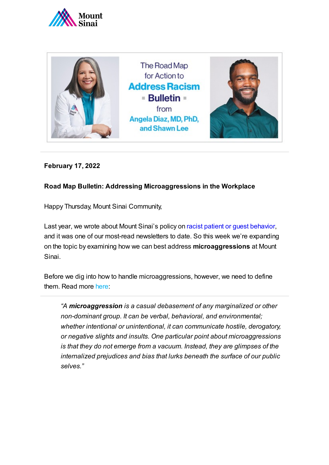



## **February 17, 2022**

### **Road Map Bulletin: Addressing Microaggressions in the Workplace**

Happy Thursday, Mount Sinai Community,

Last year, we wrote about Mount Sinai's policy on racist patient or guest [behavior,](https://www.mountsinai.org/files/MSHealth/Assets/HS/About/Road-Map-for-Action-Bulletin-6-Policy-on-Dealing-With-Racist-Behavior.pdf) and it was one of our most-read newsletters to date. So this week we're expanding on the topic by examining how we can best address **microaggressions** at Mount Sinai.

Before we dig into how to handle microaggressions, however, we need to define them. Read more [here:](https://www.theatlantic.com/politics/archive/2015/09/microaggressions-matter/406090/)

*"A microaggression is a casual debasement of any marginalized or other non-dominant group. It can be verbal, behavioral, and environmental; whether intentional or unintentional, it can communicate hostile, derogatory, or negative slights and insults. One particular point about microaggressions is that they do not emerge from a vacuum. Instead, they are glimpses of the internalized prejudices and bias that lurks beneath the surface of our public selves."*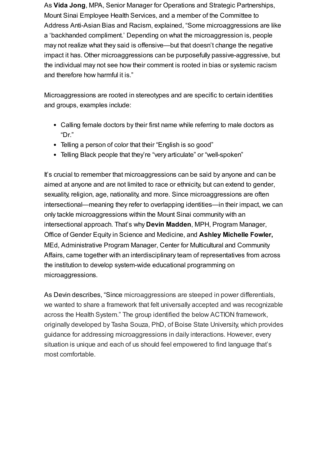As **Vida Jong**, MPA, Senior Manager for Operations and Strategic Partnerships, Mount Sinai Employee Health Services, and a member of the Committee to Address Anti-Asian Bias and Racism, explained, "Some microaggressions are like a 'backhanded compliment.' Depending on what the microaggression is, people may not realize what they said is offensive—but that doesn't change the negative impact it has. Other microaggressions can be purposefully passive-aggressive, but the individual may not see how their comment is rooted in bias or systemic racism and therefore how harmful it is."

Microaggressions are rooted in stereotypes and are specific to certain identities and groups, examples include:

- Calling female doctors by their first name while referring to male doctors as "Dr."
- Telling a person of color that their "English is so good"
- Telling Black people that they're "very articulate" or "well-spoken"

It's crucial to remember that [microaggressions can](https://pikasso.bananatag.com/?v=1645027428965) be said by anyone and can be aimed at anyone and are not limited to race or ethnicity, but can extend to gender, sexuality, religion, age, nationality, and more. Since microaggressions are often intersectional—meaning they refer to overlapping identities—in their impact, we can only tackle microaggressions within the Mount Sinai community with an intersectional approach. That's why **Devin Madden**, MPH, Program Manager, Office of Gender Equity in Science and Medicine, and **Ashley Michelle Fowler,** MEd, Administrative Program Manager, Center for Multicultural and Community Affairs, came together with an interdisciplinary team of representatives from across the institution to develop system-wide educational programming on microaggressions.

As Devin describes, "Since microaggressions are steeped in power differentials, we wanted to share a framework that felt universally accepted and was recognizable across the Health System." The group identified the below ACTION framework, originally developed by Tasha Souza, PhD, of Boise State University, which provides guidance for addressing microaggressions in daily interactions. However, every situation is unique and each of us should feel empowered to find language that's most comfortable.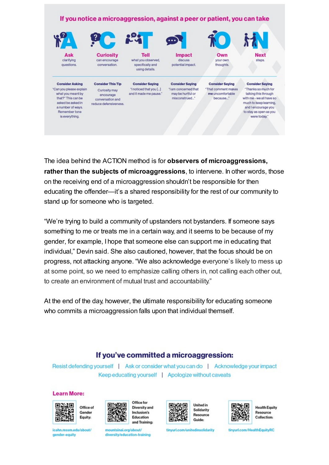#### If you notice a microaggression, against a peer or patient, you can take



clarifying questions.

**Consider Asking** "Can you please explain

what you meant by

that?" This can be

asked be asked in

a number of ways.

Remember tone

is everything.



**Consider This Tip** 

Curiosity may

encourage

conversation and

reduce defensiveness.

can encourage conversation.

what you observed, specifically and using details.

**Tell** 

**Consider Saving** 

"I noticed that you [...]

and it made me pause."



Impact discuss potential impact.

Own your own thoughts.



steps

**Consider Saving** "I am concerned that may be hurtful or misconstrued.

**Consider Saving** \*That comment makes me uncomfortable because."

**Consider Saving** \*Thanks so much for talking this through with me - we all have so much to keep learning. and I encourage you to stay as open as you were today."

The idea behind the ACTION method is for observers of microaggressions. rather than the subjects of microaggressions, to intervene. In other words, those on the receiving end of a microaggression shouldn't be responsible for then educating the offender—it's a shared responsibility for the rest of our community to stand up for someone who is targeted.

"We're trying to build a community of upstanders not bystanders. If someone says something to me or treats me in a certain way, and it seems to be because of my gender, for example. I hope that someone else can support me in educating that individual." Devin said. She also cautioned, however, that the focus should be on progress, not attacking anyone. "We also acknowledge everyone's likely to mess up at some point, so we need to emphasize calling others in, not calling each other out, to create an environment of mutual trust and accountability."

At the end of the day, however, the ultimate responsibility for educating someone who commits a microaggression falls upon that individual themself.

## If you've committed a microaggression:

Resist defending yourself | Ask or consider what you can do | Acknowledge your impact Keep educating yourself | Apologize without caveats

#### **Learn More:**





Office for **Diversity and** Inclusion's Education and Training:



**United in** Solidarity Resource Guide:



**Health Equity** Resource Collection:

icahn.mssm.edu/about/ gender-equity

mountsinai.org/about/ diversity/education-training tinyurl.com/unitedinsolidarity

tinyurl.com/HealthEquityRC